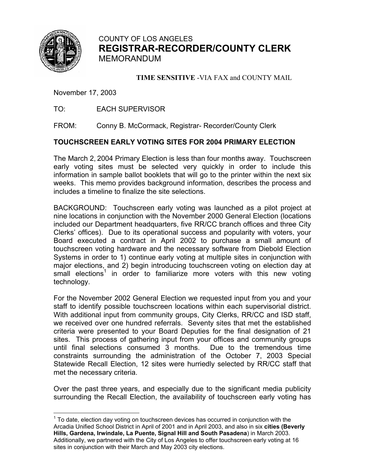

COUNTY OF LOS ANGELES **REGISTRAR-RECORDER/COUNTY CLERK** MEMORANDUM

**TIME SENSITIVE** -VIA FAX and COUNTY MAIL

November 17, 2003

TO: EACH SUPERVISOR

FROM: Conny B. McCormack, Registrar- Recorder/County Clerk

#### **TOUCHSCREEN EARLY VOTING SITES FOR 2004 PRIMARY ELECTION**

The March 2, 2004 Primary Election is less than four months away. Touchscreen early voting sites must be selected very quickly in order to include this information in sample ballot booklets that will go to the printer within the next six weeks. This memo provides background information, describes the process and includes a timeline to finalize the site selections.

BACKGROUND: Touchscreen early voting was launched as a pilot project at nine locations in conjunction with the November 2000 General Election (locations included our Department headquarters, five RR/CC branch offices and three City Clerks' offices). Due to its operational success and popularity with voters, your Board executed a contract in April 2002 to purchase a small amount of touchscreen voting hardware and the necessary software from Diebold Election Systems in order to 1) continue early voting at multiple sites in conjunction with major elections, and 2) begin introducing touchscreen voting on election day at small elections<sup>[1](#page-0-0)</sup> in order to familiarize more voters with this new voting technology.

For the November 2002 General Election we requested input from you and your staff to identify possible touchscreen locations within each supervisorial district. With additional input from community groups, City Clerks, RR/CC and ISD staff, we received over one hundred referrals. Seventy sites that met the established criteria were presented to your Board Deputies for the final designation of 21 sites. This process of gathering input from your offices and community groups until final selections consumed 3 months. Due to the tremendous time constraints surrounding the administration of the October 7, 2003 Special Statewide Recall Election, 12 sites were hurriedly selected by RR/CC staff that met the necessary criteria.

Over the past three years, and especially due to the significant media publicity surrounding the Recall Election, the availability of touchscreen early voting has

<span id="page-0-0"></span><sup>————————————————————&</sup>lt;br><sup>1</sup> To date, election day voting on touchscreen devices has occurred in conjunction with the Arcadia Unified School District in April of 2001 and in April 2003, and also in six **cities (Beverly Hills, Gardena, Irwindale, La Puente, Signal Hill and South Pasadena**) in March 2003. Additionally, we partnered with the City of Los Angeles to offer touchscreen early voting at 16 sites in conjunction with their March and May 2003 city elections.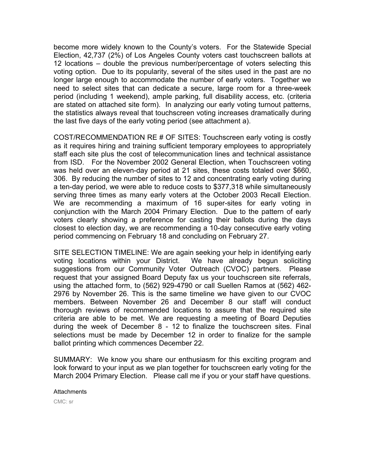become more widely known to the County's voters. For the Statewide Special Election, 42,737 (2%) of Los Angeles County voters cast touchscreen ballots at 12 locations – double the previous number/percentage of voters selecting this voting option. Due to its popularity, several of the sites used in the past are no longer large enough to accommodate the number of early voters. Together we need to select sites that can dedicate a secure, large room for a three-week period (including 1 weekend), ample parking, full disability access, etc. (criteria are stated on attached site form). In analyzing our early voting turnout patterns, the statistics always reveal that touchscreen voting increases dramatically during the last five days of the early voting period (see attachment a).

COST/RECOMMENDATION RE # OF SITES: Touchscreen early voting is costly as it requires hiring and training sufficient temporary employees to appropriately staff each site plus the cost of telecommunication lines and technical assistance from ISD. For the November 2002 General Election, when Touchscreen voting was held over an eleven-day period at 21 sites, these costs totaled over \$660, 306. By reducing the number of sites to 12 and concentrating early voting during a ten-day period, we were able to reduce costs to \$377,318 while simultaneously serving three times as many early voters at the October 2003 Recall Election. We are recommending a maximum of 16 super-sites for early voting in conjunction with the March 2004 Primary Election. Due to the pattern of early voters clearly showing a preference for casting their ballots during the days closest to election day, we are recommending a 10-day consecutive early voting period commencing on February 18 and concluding on February 27.

SITE SELECTION TIMELINE: We are again seeking your help in identifying early voting locations within your District. We have already begun soliciting suggestions from our Community Voter Outreach (CVOC) partners. Please request that your assigned Board Deputy fax us your touchscreen site referrals, using the attached form, to (562) 929-4790 or call Suellen Ramos at (562) 462- 2976 by November 26. This is the same timeline we have given to our CVOC members. Between November 26 and December 8 our staff will conduct thorough reviews of recommended locations to assure that the required site criteria are able to be met. We are requesting a meeting of Board Deputies during the week of December 8 - 12 to finalize the touchscreen sites. Final selections must be made by December 12 in order to finalize for the sample ballot printing which commences December 22.

SUMMARY: We know you share our enthusiasm for this exciting program and look forward to your input as we plan together for touchscreen early voting for the March 2004 Primary Election. Please call me if you or your staff have questions.

**Attachments** CMC: sr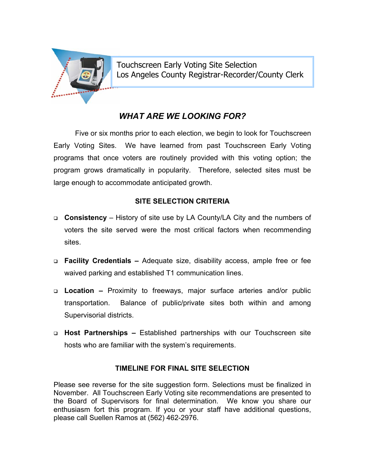

Touchscreen Early Voting Site Selection Los Angeles County Registrar-Recorder/County Clerk

### *WHAT ARE WE LOOKING FOR?*

program grows dramatically in popularity. Therefore, selected sites must be large enough to accommodate anticipated growth. Five or six months prior to each election, we begin to look for Touchscreen Early Voting Sites. We have learned from past Touchscreen Early Voting programs that once voters are routinely provided with this voting option; the

#### **SITE SELECTION CRITERIA**

- **Consistency** History of site use by LA County/LA City and the numbers of voters the site served were the most critical factors when recommending sites.
- □ Facility Credentials Adequate size, disability access, ample free or fee waived parking and established T1 communication lines.
- **Location** Proximity to freeways, major surface arteries and/or public Balance of public/private sites both within and among Supervisorial districts. transportation.
- **D** Host Partnerships Established partnerships with our Touchscreen site hosts who are familiar with the system's requirements.

#### **TIMELINE FOR FINAL SITE SELECTION**

enthusiasm fort this program. If you or your staff have additional questions, please call Suellen Ramos at (562) 462-2976. Please see reverse for the site suggestion form. Selections must be finalized in November. All Touchscreen Early Voting site recommendations are presented to the Board of Supervisors for final determination. We know you share our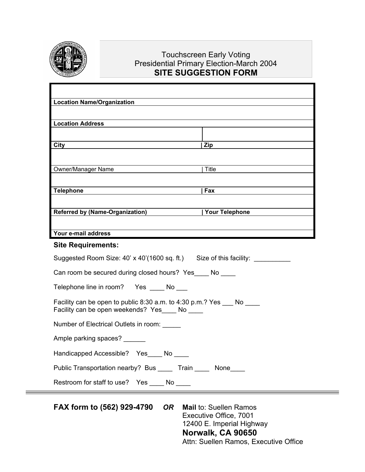

### Touchscreen Early Voting Presidential Primary Election-March 2004 **SITE SUGGESTION FORM**

| <b>Location Name/Organization</b>                                                                               |                |
|-----------------------------------------------------------------------------------------------------------------|----------------|
|                                                                                                                 |                |
| <b>Location Address</b>                                                                                         |                |
| City                                                                                                            | Zip            |
|                                                                                                                 |                |
| Owner/Manager Name                                                                                              | Title          |
|                                                                                                                 |                |
| <b>Telephone</b>                                                                                                | Fax            |
| <b>Referred by (Name-Organization)</b>                                                                          | Your Telephone |
|                                                                                                                 |                |
| Your e-mail address                                                                                             |                |
| <b>Site Requirements:</b>                                                                                       |                |
|                                                                                                                 |                |
| Suggested Room Size: 40' x 40'(1600 sq. ft.) Size of this facility: ___________                                 |                |
| Can room be secured during closed hours? Yes No                                                                 |                |
| Telephone line in room? Yes No                                                                                  |                |
| Facility can be open to public 8:30 a.m. to 4:30 p.m.? Yes No<br>Facility can be open weekends? Yes____ No ____ |                |
| Number of Electrical Outlets in room:                                                                           |                |
| Ample parking spaces? ______                                                                                    |                |
| Handicapped Accessible? Yes____ No ____                                                                         |                |
| Public Transportation nearby? Bus _____ Train _____ None____                                                    |                |

**FAX form to (562) 929-4790** *OR* **Mail** to: Suellen Ramos Executive Office, 7001 12400 E. Imperial Highway **Norwalk, CA 90650**  Attn: Suellen Ramos, Executive Office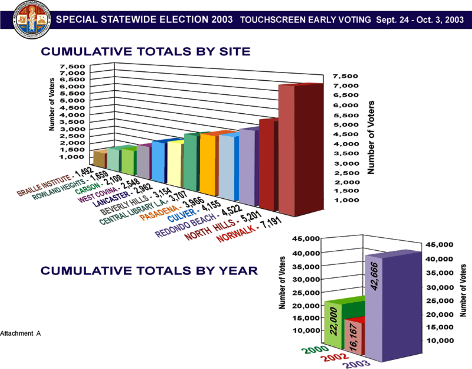

# **CUMULATIVE TOTALS BY SITE**

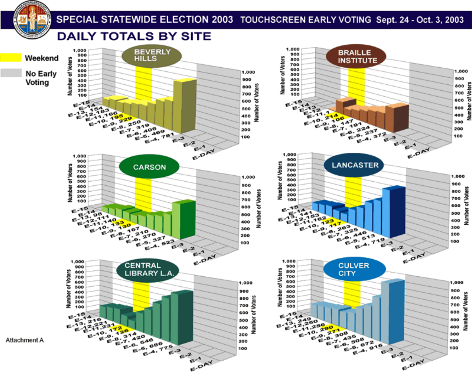

# SPECIAL STATEWIDE ELECTION 2003 TOUCHSCREEN EARLY VOTING Sept. 24 - Oct. 3, 2003

### **DAILY TOTALS BY SITE**